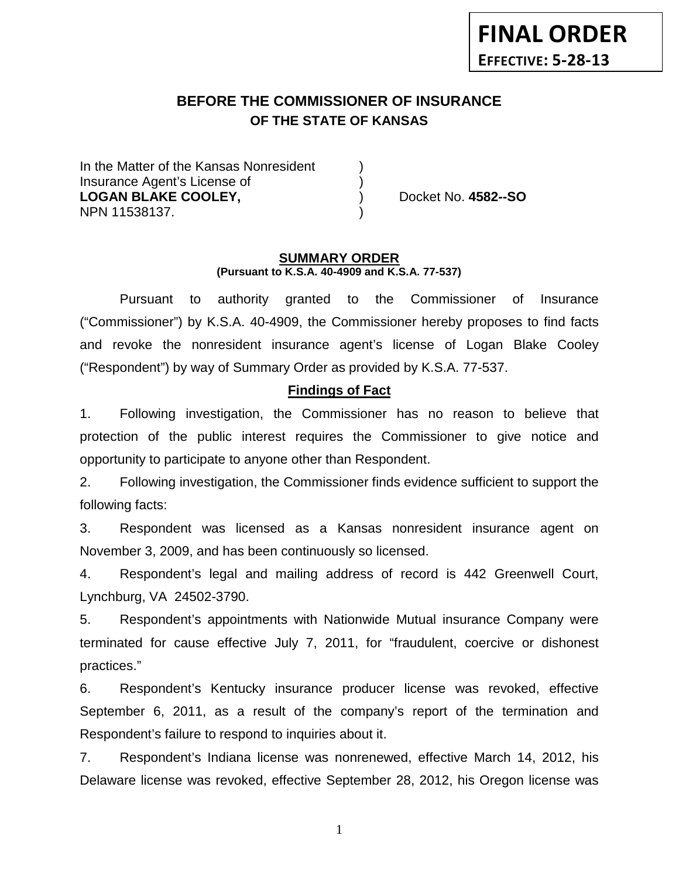# **BEFORE THE COMMISSIONER OF INSURANCE OF THE STATE OF KANSAS**

In the Matter of the Kansas Nonresident Insurance Agent's License of ) **LOGAN BLAKE COOLEY,** ) Docket No. **4582--SO** NPN 11538137. )

#### **SUMMARY ORDER (Pursuant to K.S.A. 40-4909 and K.S.A. 77-537)**

Pursuant to authority granted to the Commissioner of Insurance ("Commissioner") by K.S.A. 40-4909, the Commissioner hereby proposes to find facts and revoke the nonresident insurance agent's license of Logan Blake Cooley ("Respondent") by way of Summary Order as provided by K.S.A. 77-537.

### **Findings of Fact**

1. Following investigation, the Commissioner has no reason to believe that protection of the public interest requires the Commissioner to give notice and opportunity to participate to anyone other than Respondent.

2. Following investigation, the Commissioner finds evidence sufficient to support the following facts:

3. Respondent was licensed as a Kansas nonresident insurance agent on November 3, 2009, and has been continuously so licensed.

4. Respondent's legal and mailing address of record is 442 Greenwell Court, Lynchburg, VA 24502-3790.

5. Respondent's appointments with Nationwide Mutual insurance Company were terminated for cause effective July 7, 2011, for "fraudulent, coercive or dishonest practices."

6. Respondent's Kentucky insurance producer license was revoked, effective September 6, 2011, as a result of the company's report of the termination and Respondent's failure to respond to inquiries about it.

7. Respondent's Indiana license was nonrenewed, effective March 14, 2012, his Delaware license was revoked, effective September 28, 2012, his Oregon license was

1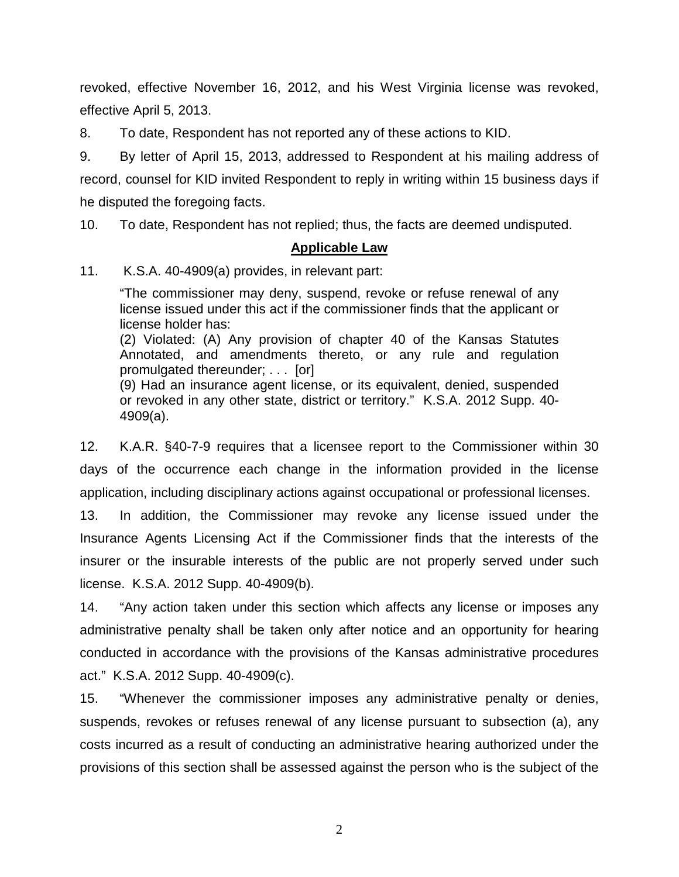revoked, effective November 16, 2012, and his West Virginia license was revoked, effective April 5, 2013.

8. To date, Respondent has not reported any of these actions to KID.

9. By letter of April 15, 2013, addressed to Respondent at his mailing address of record, counsel for KID invited Respondent to reply in writing within 15 business days if he disputed the foregoing facts.

10. To date, Respondent has not replied; thus, the facts are deemed undisputed.

### **Applicable Law**

11. K.S.A. 40-4909(a) provides, in relevant part:

"The commissioner may deny, suspend, revoke or refuse renewal of any license issued under this act if the commissioner finds that the applicant or license holder has: (2) Violated: (A) Any provision of chapter 40 of the Kansas Statutes Annotated, and amendments thereto, or any rule and regulation promulgated thereunder; . . . [or] (9) Had an insurance agent license, or its equivalent, denied, suspended or revoked in any other state, district or territory." K.S.A. 2012 Supp. 40- 4909(a).

12. K.A.R. §40-7-9 requires that a licensee report to the Commissioner within 30 days of the occurrence each change in the information provided in the license application, including disciplinary actions against occupational or professional licenses.

13. In addition, the Commissioner may revoke any license issued under the Insurance Agents Licensing Act if the Commissioner finds that the interests of the insurer or the insurable interests of the public are not properly served under such license. K.S.A. 2012 Supp. 40-4909(b).

14. "Any action taken under this section which affects any license or imposes any administrative penalty shall be taken only after notice and an opportunity for hearing conducted in accordance with the provisions of the Kansas administrative procedures act." K.S.A. 2012 Supp. 40-4909(c).

15. "Whenever the commissioner imposes any administrative penalty or denies, suspends, revokes or refuses renewal of any license pursuant to subsection (a), any costs incurred as a result of conducting an administrative hearing authorized under the provisions of this section shall be assessed against the person who is the subject of the

2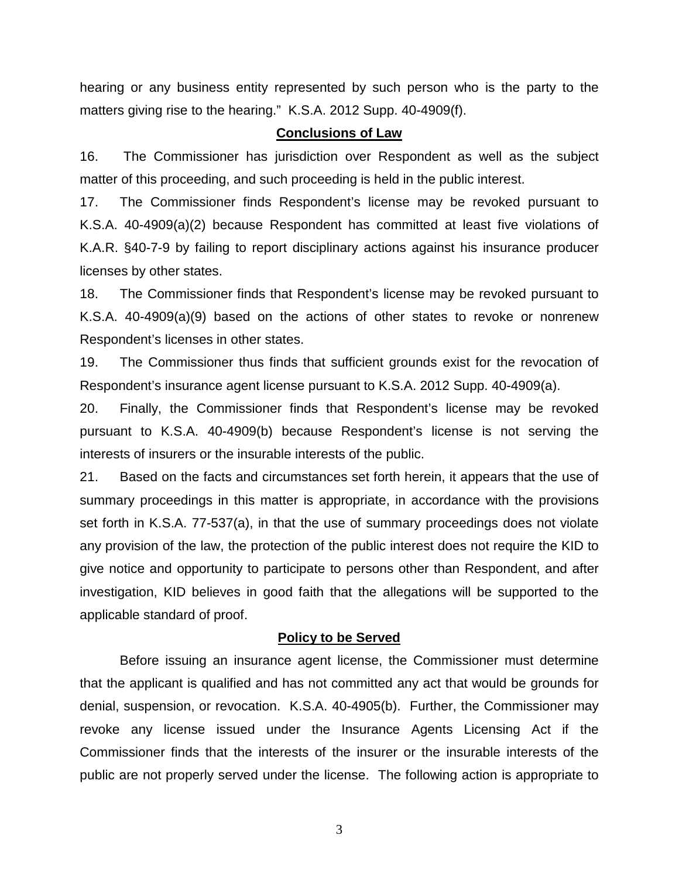hearing or any business entity represented by such person who is the party to the matters giving rise to the hearing." K.S.A. 2012 Supp. 40-4909(f).

#### **Conclusions of Law**

16. The Commissioner has jurisdiction over Respondent as well as the subject matter of this proceeding, and such proceeding is held in the public interest.

17. The Commissioner finds Respondent's license may be revoked pursuant to K.S.A. 40-4909(a)(2) because Respondent has committed at least five violations of K.A.R. §40-7-9 by failing to report disciplinary actions against his insurance producer licenses by other states.

18. The Commissioner finds that Respondent's license may be revoked pursuant to K.S.A. 40-4909(a)(9) based on the actions of other states to revoke or nonrenew Respondent's licenses in other states.

19. The Commissioner thus finds that sufficient grounds exist for the revocation of Respondent's insurance agent license pursuant to K.S.A. 2012 Supp. 40-4909(a).

20. Finally, the Commissioner finds that Respondent's license may be revoked pursuant to K.S.A. 40-4909(b) because Respondent's license is not serving the interests of insurers or the insurable interests of the public.

21. Based on the facts and circumstances set forth herein, it appears that the use of summary proceedings in this matter is appropriate, in accordance with the provisions set forth in K.S.A. 77-537(a), in that the use of summary proceedings does not violate any provision of the law, the protection of the public interest does not require the KID to give notice and opportunity to participate to persons other than Respondent, and after investigation, KID believes in good faith that the allegations will be supported to the applicable standard of proof.

### **Policy to be Served**

Before issuing an insurance agent license, the Commissioner must determine that the applicant is qualified and has not committed any act that would be grounds for denial, suspension, or revocation. K.S.A. 40-4905(b). Further, the Commissioner may revoke any license issued under the Insurance Agents Licensing Act if the Commissioner finds that the interests of the insurer or the insurable interests of the public are not properly served under the license. The following action is appropriate to

3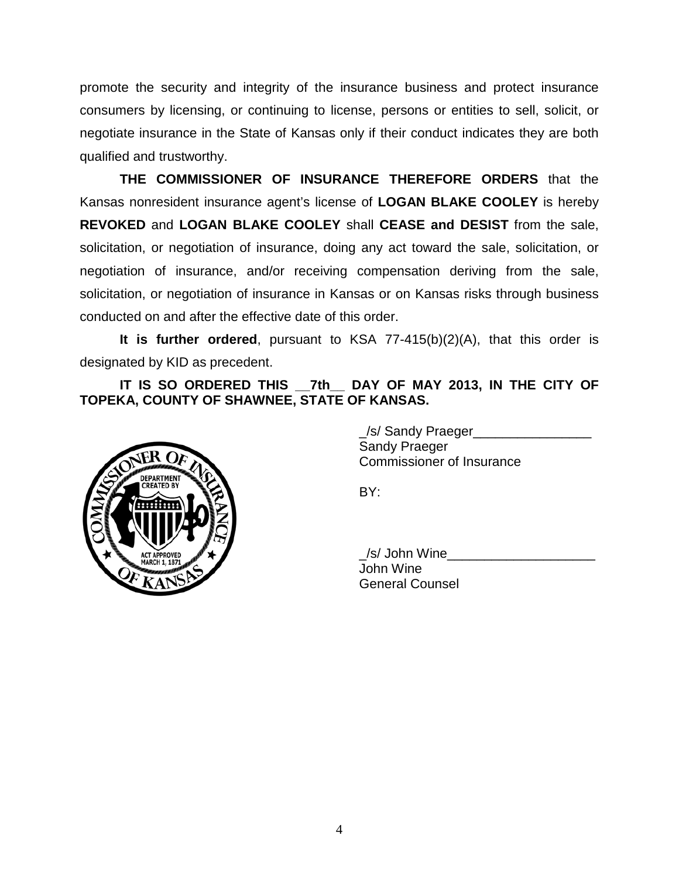promote the security and integrity of the insurance business and protect insurance consumers by licensing, or continuing to license, persons or entities to sell, solicit, or negotiate insurance in the State of Kansas only if their conduct indicates they are both qualified and trustworthy.

**THE COMMISSIONER OF INSURANCE THEREFORE ORDERS** that the Kansas nonresident insurance agent's license of **LOGAN BLAKE COOLEY** is hereby **REVOKED** and **LOGAN BLAKE COOLEY** shall **CEASE and DESIST** from the sale, solicitation, or negotiation of insurance, doing any act toward the sale, solicitation, or negotiation of insurance, and/or receiving compensation deriving from the sale, solicitation, or negotiation of insurance in Kansas or on Kansas risks through business conducted on and after the effective date of this order.

**It is further ordered**, pursuant to KSA 77-415(b)(2)(A), that this order is designated by KID as precedent.

**IT IS SO ORDERED THIS \_\_7th\_\_ DAY OF MAY 2013, IN THE CITY OF TOPEKA, COUNTY OF SHAWNEE, STATE OF KANSAS.**



\_/s/ Sandy Praeger\_\_\_\_\_\_\_\_\_\_\_\_\_\_\_\_ Sandy Praeger Commissioner of Insurance

BY:

/s/ John Wine John Wine General Counsel